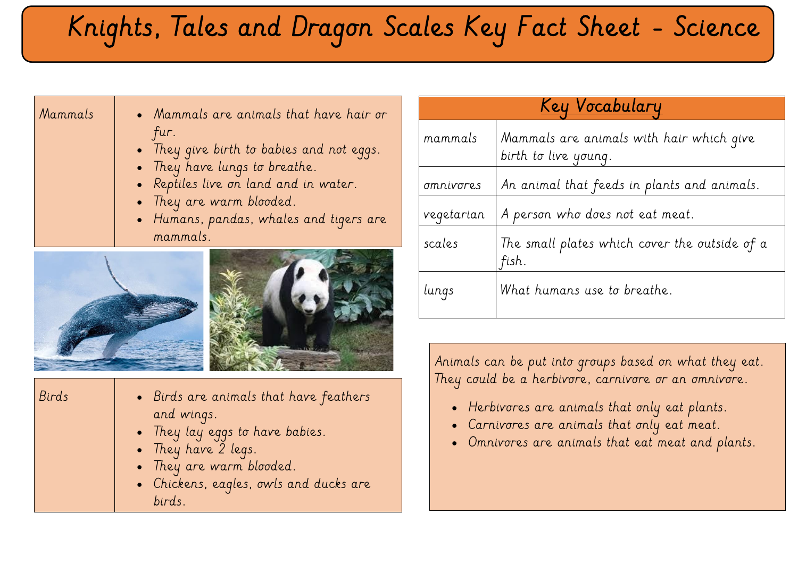## Knights, Tales and Dragon Scales Key Fact Sheet - Science

| Mammals | • Mammals are animals that have hair or   |  |
|---------|-------------------------------------------|--|
|         | fur.                                      |  |
|         | • They give birth to babies and not eggs. |  |
|         | • They have lungs to breathe.             |  |
|         | • Reptiles live on land and in water.     |  |
|         | • They are warm blooded.                  |  |

• Humans, pandas, whales and tigers are mammals.





that have feathers

| Birds | $\bullet$ Birds are animals that have f |
|-------|-----------------------------------------|
|       | and wings.                              |
|       | • They lay eggs to have babies.         |
|       | • They have $2$ legs.                   |
|       | • They are warm blooded.                |
|       | c Chichang cagles gusts and du          |

• Chickens, eagles, owls and ducks are birds.

| <u>Key Vocabulary</u> |                                                                  |  |
|-----------------------|------------------------------------------------------------------|--|
| mammals               | Mammals are animals with hair which give<br>birth to live young. |  |
| <i>omnivores</i>      | An animal that feeds in plants and animals.                      |  |
| vegetarian            | A person who does not eat meat.                                  |  |
| scales                | The small plates which cover the outside of a<br>fish.           |  |
| lungs                 | What humans use to breathe.                                      |  |

Animals can be put into groups based on what they eat. They could be a herbivore, carnivore or an omnivore.

- Herbivores are animals that only eat plants.
- Carnivores are animals that only eat meat.
- Omnivores are animals that eat meat and plants.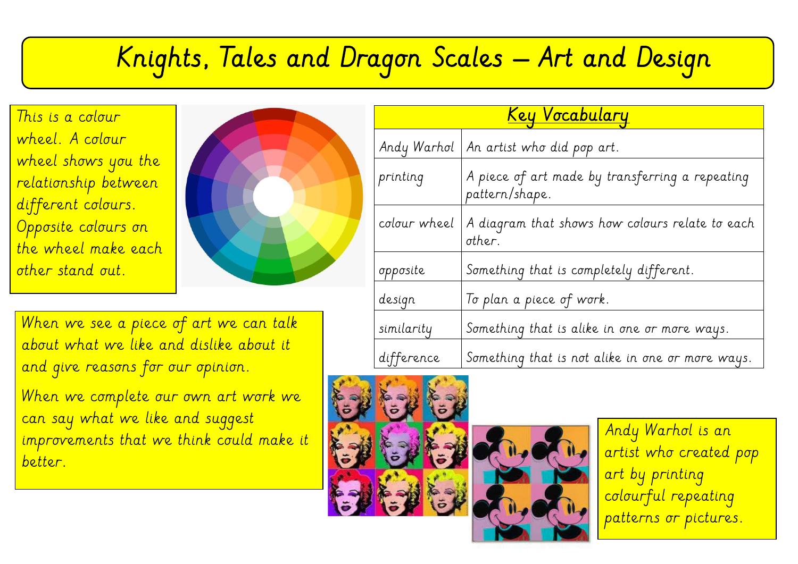## $\overline{\phantom{a}}$ Knights, Tales and Dragon Scales – Art and Design

This is a colour wheel. A colour wheel shows you the relationship between different colours. Opposite colours on the wheel make each other stand out.



When we see a piece of art we can talk about what we like and dislike about it and give reasons for our opinion.

When we complete our own art work we can say what we like and suggest improvements that we think could make it better.

| <u>Key Vocabulary</u> |                                                                   |  |  |
|-----------------------|-------------------------------------------------------------------|--|--|
| Andy Warhol           | $\vert$ An artist who did pop art.                                |  |  |
| printing              | A piece of art made by transferring a repeating<br>pattern/shape. |  |  |
| colour wheel          | A diagram that shows how colours relate to each<br>other.         |  |  |
| opposite              | Something that is completely different.                           |  |  |
| design                | To plan a piece of work.                                          |  |  |
| similarity            | Something that is alike in one or more ways.                      |  |  |
| difference            | Something that is not alike in one or more ways.                  |  |  |





Andy Warhol is an artist who created pop art by printing colourful repeating patterns or pictures.